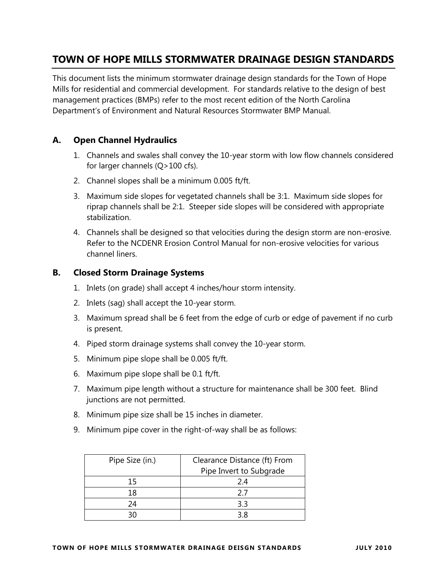# **TOWN OF HOPE MILLS STORMWATER DRAINAGE DESIGN STANDARDS**

This document lists the minimum stormwater drainage design standards for the Town of Hope Mills for residential and commercial development. For standards relative to the design of best management practices (BMPs) refer to the most recent edition of the North Carolina Department's of Environment and Natural Resources Stormwater BMP Manual.

### **A. Open Channel Hydraulics**

- 1. Channels and swales shall convey the 10-year storm with low flow channels considered for larger channels (Q>100 cfs).
- 2. Channel slopes shall be a minimum 0.005 ft/ft.
- 3. Maximum side slopes for vegetated channels shall be 3:1. Maximum side slopes for riprap channels shall be 2:1. Steeper side slopes will be considered with appropriate stabilization.
- 4. Channels shall be designed so that velocities during the design storm are non-erosive. Refer to the NCDENR Erosion Control Manual for non-erosive velocities for various channel liners.

#### **B. Closed Storm Drainage Systems**

- 1. Inlets (on grade) shall accept 4 inches/hour storm intensity.
- 2. Inlets (sag) shall accept the 10-year storm.
- 3. Maximum spread shall be 6 feet from the edge of curb or edge of pavement if no curb is present.
- 4. Piped storm drainage systems shall convey the 10-year storm.
- 5. Minimum pipe slope shall be 0.005 ft/ft.
- 6. Maximum pipe slope shall be 0.1 ft/ft.
- 7. Maximum pipe length without a structure for maintenance shall be 300 feet. Blind junctions are not permitted.
- 8. Minimum pipe size shall be 15 inches in diameter.
- 9. Minimum pipe cover in the right-of-way shall be as follows:

| Pipe Size (in.) | Clearance Distance (ft) From<br>Pipe Invert to Subgrade |
|-----------------|---------------------------------------------------------|
| 15              | 2.4                                                     |
| 18              | 27                                                      |
| 24              | 3.3                                                     |
|                 | 3 R                                                     |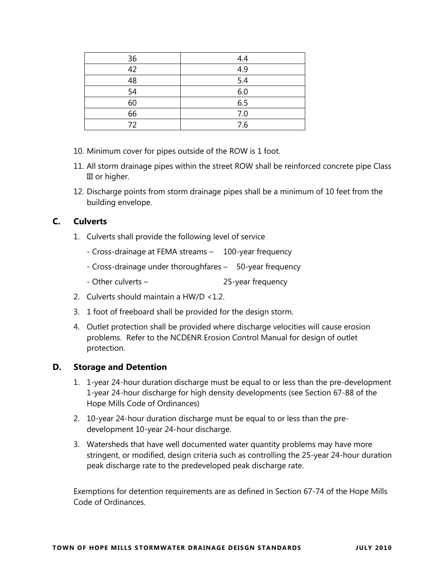| 36 | 4.4 |
|----|-----|
| 42 | 4.9 |
| 48 | 5.4 |
| 54 | 6.0 |
| 60 | 6.5 |
| 66 | 7.0 |
| 72 | 7.6 |

- 10. Minimum cover for pipes outside of the ROW is 1 foot.
- 11. All storm drainage pipes within the street ROW shall be reinforced concrete pipe Class III or higher.
- 12. Discharge points from storm drainage pipes shall be a minimum of 10 feet from the building envelope.

## **C. Culverts**

- 1. Culverts shall provide the following level of service
	- Cross-drainage at FEMA streams 100-year frequency
	- Cross-drainage under thoroughfares 50-year frequency
	- Other culverts 25-year frequency
- 2. Culverts should maintain a HW/D <1.2.
- 3. 1 foot of freeboard shall be provided for the design storm.
- 4. Outlet protection shall be provided where discharge velocities will cause erosion problems. Refer to the NCDENR Erosion Control Manual for design of outlet protection.

#### **D. Storage and Detention**

- 1. 1-year 24-hour duration discharge must be equal to or less than the pre-development 1-year 24-hour discharge for high density developments (see Section 67-88 of the Hope Mills Code of Ordinances)
- 2. 10-year 24-hour duration discharge must be equal to or less than the predevelopment 10-year 24-hour discharge.
- 3. Watersheds that have well documented water quantity problems may have more stringent, or modified, design criteria such as controlling the 25-year 24-hour duration peak discharge rate to the predeveloped peak discharge rate.

Exemptions for detention requirements are as defined in Section 67-74 of the Hope Mills Code of Ordinances.